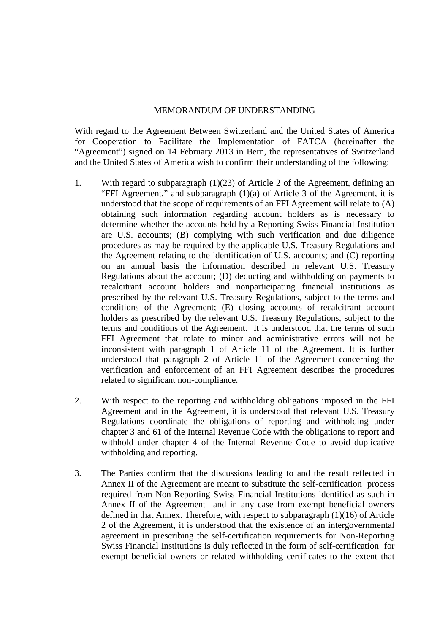## MEMORANDUM OF UNDERSTANDING

With regard to the Agreement Between Switzerland and the United States of America for Cooperation to Facilitate the Implementation of FATCA (hereinafter the "Agreement") signed on 14 February 2013 in Bern, the representatives of Switzerland and the United States of America wish to confirm their understanding of the following:

- 1. With regard to subparagraph (1)(23) of Article 2 of the Agreement, defining an "FFI Agreement," and subparagraph (1)(a) of Article 3 of the Agreement, it is understood that the scope of requirements of an FFI Agreement will relate to (A) obtaining such information regarding account holders as is necessary to determine whether the accounts held by a Reporting Swiss Financial Institution are U.S. accounts; (B) complying with such verification and due diligence procedures as may be required by the applicable U.S. Treasury Regulations and the Agreement relating to the identification of U.S. accounts; and (C) reporting on an annual basis the information described in relevant U.S. Treasury Regulations about the account; (D) deducting and withholding on payments to recalcitrant account holders and nonparticipating financial institutions as prescribed by the relevant U.S. Treasury Regulations, subject to the terms and conditions of the Agreement; (E) closing accounts of recalcitrant account holders as prescribed by the relevant U.S. Treasury Regulations, subject to the terms and conditions of the Agreement. It is understood that the terms of such FFI Agreement that relate to minor and administrative errors will not be inconsistent with paragraph 1 of Article 11 of the Agreement. It is further understood that paragraph 2 of Article 11 of the Agreement concerning the verification and enforcement of an FFI Agreement describes the procedures related to significant non-compliance.
- 2. With respect to the reporting and withholding obligations imposed in the FFI Agreement and in the Agreement, it is understood that relevant U.S. Treasury Regulations coordinate the obligations of reporting and withholding under chapter 3 and 61 of the Internal Revenue Code with the obligations to report and withhold under chapter 4 of the Internal Revenue Code to avoid duplicative withholding and reporting.
- 3. The Parties confirm that the discussions leading to and the result reflected in Annex II of the Agreement are meant to substitute the self-certification process required from Non-Reporting Swiss Financial Institutions identified as such in Annex II of the Agreement and in any case from exempt beneficial owners defined in that Annex. Therefore, with respect to subparagraph (1)(16) of Article 2 of the Agreement, it is understood that the existence of an intergovernmental agreement in prescribing the self-certification requirements for Non-Reporting Swiss Financial Institutions is duly reflected in the form of self-certification for exempt beneficial owners or related withholding certificates to the extent that